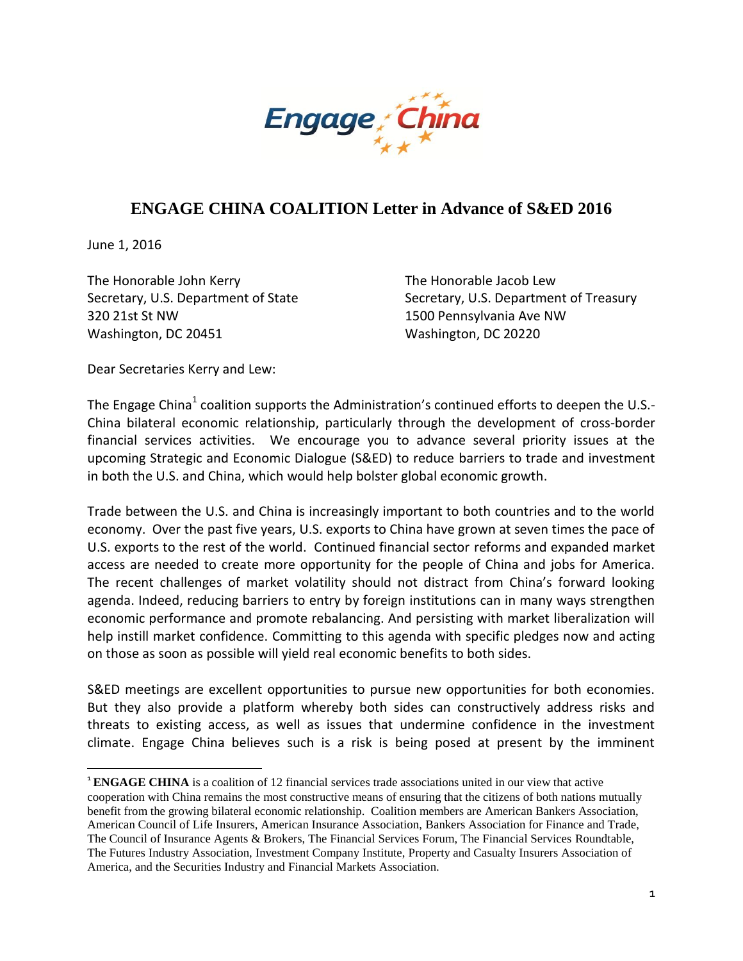

# **ENGAGE CHINA COALITION Letter in Advance of S&ED 2016**

June 1, 2016

The Honorable John Kerry Secretary, U.S. Department of State 320 21st St NW Washington, DC 20451

The Honorable Jacob Lew Secretary, U.S. Department of Treasury 1500 Pennsylvania Ave NW Washington, DC 20220

Dear Secretaries Kerry and Lew:

The Engage China<sup>1</sup> coalition supports the Administration's continued efforts to deepen the U.S.-China bilateral economic relationship, particularly through the development of cross-border financial services activities. We encourage you to advance several priority issues at the upcoming Strategic and Economic Dialogue (S&ED) to reduce barriers to trade and investment in both the U.S. and China, which would help bolster global economic growth.

Trade between the U.S. and China is increasingly important to both countries and to the world economy. Over the past five years, U.S. exports to China have grown at seven times the pace of U.S. exports to the rest of the world. Continued financial sector reforms and expanded market access are needed to create more opportunity for the people of China and jobs for America. The recent challenges of market volatility should not distract from China's forward looking agenda. Indeed, reducing barriers to entry by foreign institutions can in many ways strengthen economic performance and promote rebalancing. And persisting with market liberalization will help instill market confidence. Committing to this agenda with specific pledges now and acting on those as soon as possible will yield real economic benefits to both sides.

S&ED meetings are excellent opportunities to pursue new opportunities for both economies. But they also provide a platform whereby both sides can constructively address risks and threats to existing access, as well as issues that undermine confidence in the investment climate. Engage China believes such is a risk is being posed at present by the imminent

 <sup>1</sup> **ENGAGE CHINA** is a coalition of 12 financial services trade associations united in our view that active cooperation with China remains the most constructive means of ensuring that the citizens of both nations mutually benefit from the growing bilateral economic relationship. Coalition members are American Bankers Association, American Council of Life Insurers, American Insurance Association, Bankers Association for Finance and Trade, The Council of Insurance Agents & Brokers, The Financial Services Forum, The Financial Services Roundtable, The Futures Industry Association, Investment Company Institute, Property and Casualty Insurers Association of America, and the Securities Industry and Financial Markets Association.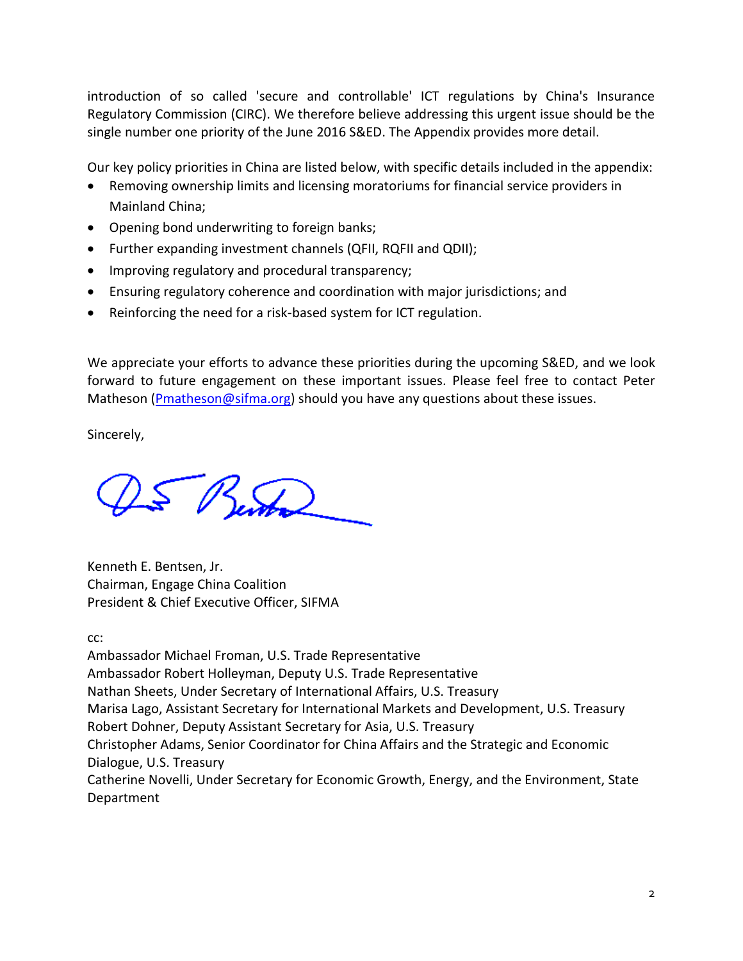introduction of so called 'secure and controllable' ICT regulations by China's Insurance Regulatory Commission (CIRC). We therefore believe addressing this urgent issue should be the single number one priority of the June 2016 S&ED. The Appendix provides more detail.

Our key policy priorities in China are listed below, with specific details included in the appendix:

- Removing ownership limits and licensing moratoriums for financial service providers in Mainland China;
- Opening bond underwriting to foreign banks;
- Further expanding investment channels (QFII, RQFII and QDII);
- Improving regulatory and procedural transparency;
- Ensuring regulatory coherence and coordination with major jurisdictions; and
- Reinforcing the need for a risk-based system for ICT regulation.

We appreciate your efforts to advance these priorities during the upcoming S&ED, and we look forward to future engagement on these important issues. Please feel free to contact Peter Matheson ( $P$ matheson@sifma.org) should you have any questions about these issues.

Sincerely,

5 Benton

Kenneth E. Bentsen, Jr. Chairman, Engage China Coalition President & Chief Executive Officer, SIFMA

cc:

Ambassador Michael Froman, U.S. Trade Representative Ambassador Robert Holleyman, Deputy U.S. Trade Representative Nathan Sheets, Under Secretary of International Affairs, U.S. Treasury Marisa Lago, Assistant Secretary for International Markets and Development, U.S. Treasury Robert Dohner, Deputy Assistant Secretary for Asia, U.S. Treasury Christopher Adams, Senior Coordinator for China Affairs and the Strategic and Economic Dialogue, U.S. Treasury Catherine Novelli, Under Secretary for Economic Growth, Energy, and the Environment, State Department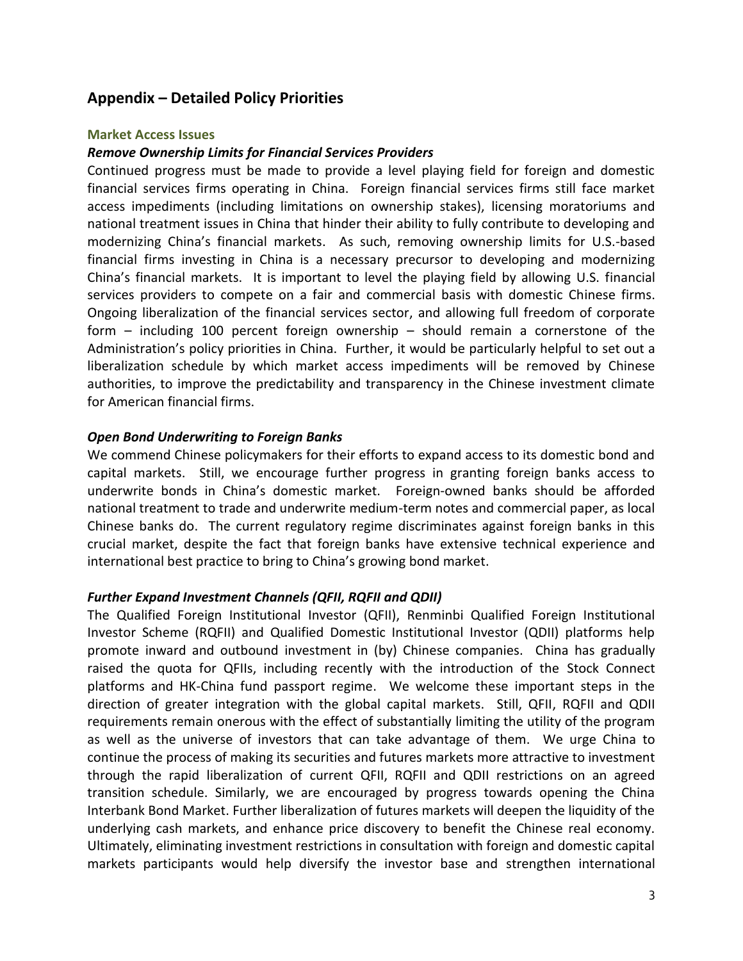# **Appendix – Detailed Policy Priorities**

## **Market Access Issues**

## *Remove Ownership Limits for Financial Services Providers*

Continued progress must be made to provide a level playing field for foreign and domestic financial services firms operating in China. Foreign financial services firms still face market access impediments (including limitations on ownership stakes), licensing moratoriums and national treatment issues in China that hinder their ability to fully contribute to developing and modernizing China's financial markets. As such, removing ownership limits for U.S.-based financial firms investing in China is a necessary precursor to developing and modernizing China's financial markets. It is important to level the playing field by allowing U.S. financial services providers to compete on a fair and commercial basis with domestic Chinese firms. Ongoing liberalization of the financial services sector, and allowing full freedom of corporate form – including 100 percent foreign ownership – should remain a cornerstone of the Administration's policy priorities in China. Further, it would be particularly helpful to set out a liberalization schedule by which market access impediments will be removed by Chinese authorities, to improve the predictability and transparency in the Chinese investment climate for American financial firms.

#### *Open Bond Underwriting to Foreign Banks*

We commend Chinese policymakers for their efforts to expand access to its domestic bond and capital markets. Still, we encourage further progress in granting foreign banks access to underwrite bonds in China's domestic market. Foreign-owned banks should be afforded national treatment to trade and underwrite medium-term notes and commercial paper, as local Chinese banks do. The current regulatory regime discriminates against foreign banks in this crucial market, despite the fact that foreign banks have extensive technical experience and international best practice to bring to China's growing bond market.

#### *Further Expand Investment Channels (QFII, RQFII and QDII)*

The Qualified Foreign Institutional Investor (QFII), Renminbi Qualified Foreign Institutional Investor Scheme (RQFII) and Qualified Domestic Institutional Investor (QDII) platforms help promote inward and outbound investment in (by) Chinese companies. China has gradually raised the quota for QFIIs, including recently with the introduction of the Stock Connect platforms and HK-China fund passport regime. We welcome these important steps in the direction of greater integration with the global capital markets. Still, QFII, RQFII and QDII requirements remain onerous with the effect of substantially limiting the utility of the program as well as the universe of investors that can take advantage of them. We urge China to continue the process of making its securities and futures markets more attractive to investment through the rapid liberalization of current QFII, RQFII and QDII restrictions on an agreed transition schedule. Similarly, we are encouraged by progress towards opening the China Interbank Bond Market. Further liberalization of futures markets will deepen the liquidity of the underlying cash markets, and enhance price discovery to benefit the Chinese real economy. Ultimately, eliminating investment restrictions in consultation with foreign and domestic capital markets participants would help diversify the investor base and strengthen international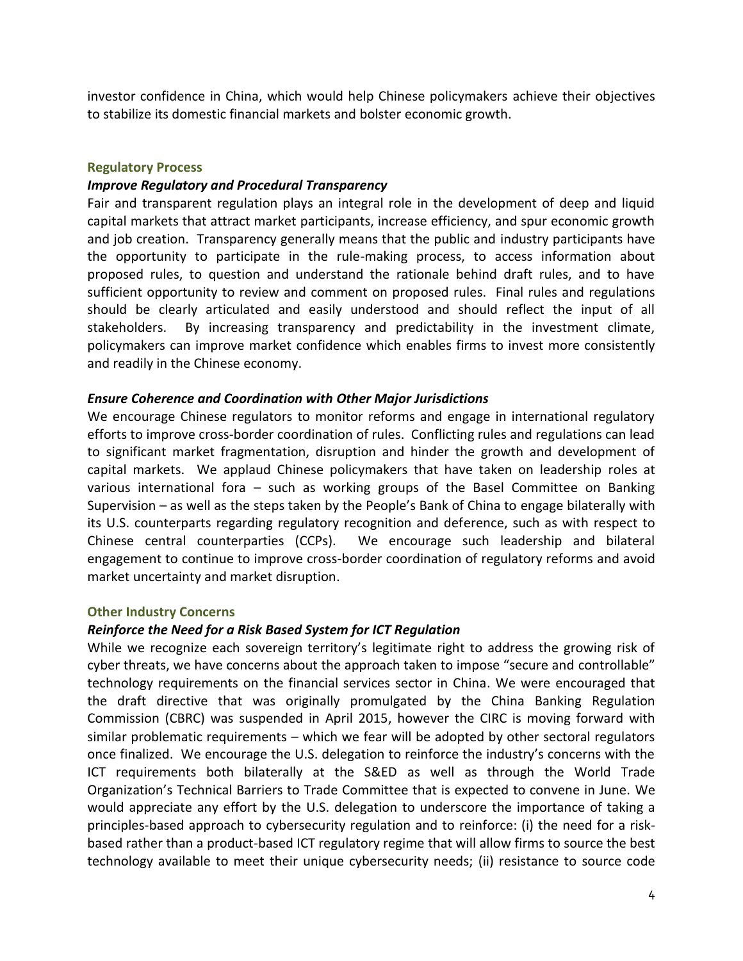investor confidence in China, which would help Chinese policymakers achieve their objectives to stabilize its domestic financial markets and bolster economic growth.

#### **Regulatory Process**

#### *Improve Regulatory and Procedural Transparency*

Fair and transparent regulation plays an integral role in the development of deep and liquid capital markets that attract market participants, increase efficiency, and spur economic growth and job creation. Transparency generally means that the public and industry participants have the opportunity to participate in the rule-making process, to access information about proposed rules, to question and understand the rationale behind draft rules, and to have sufficient opportunity to review and comment on proposed rules. Final rules and regulations should be clearly articulated and easily understood and should reflect the input of all stakeholders. By increasing transparency and predictability in the investment climate, policymakers can improve market confidence which enables firms to invest more consistently and readily in the Chinese economy.

#### *Ensure Coherence and Coordination with Other Major Jurisdictions*

We encourage Chinese regulators to monitor reforms and engage in international regulatory efforts to improve cross-border coordination of rules. Conflicting rules and regulations can lead to significant market fragmentation, disruption and hinder the growth and development of capital markets. We applaud Chinese policymakers that have taken on leadership roles at various international fora – such as working groups of the Basel Committee on Banking Supervision – as well as the steps taken by the People's Bank of China to engage bilaterally with its U.S. counterparts regarding regulatory recognition and deference, such as with respect to Chinese central counterparties (CCPs). We encourage such leadership and bilateral engagement to continue to improve cross-border coordination of regulatory reforms and avoid market uncertainty and market disruption.

#### **Other Industry Concerns**

# *Reinforce the Need for a Risk Based System for ICT Regulation*

While we recognize each sovereign territory's legitimate right to address the growing risk of cyber threats, we have concerns about the approach taken to impose "secure and controllable" technology requirements on the financial services sector in China. We were encouraged that the draft directive that was originally promulgated by the China Banking Regulation Commission (CBRC) was suspended in April 2015, however the CIRC is moving forward with similar problematic requirements – which we fear will be adopted by other sectoral regulators once finalized. We encourage the U.S. delegation to reinforce the industry's concerns with the ICT requirements both bilaterally at the S&ED as well as through the World Trade Organization's Technical Barriers to Trade Committee that is expected to convene in June. We would appreciate any effort by the U.S. delegation to underscore the importance of taking a principles-based approach to cybersecurity regulation and to reinforce: (i) the need for a riskbased rather than a product-based ICT regulatory regime that will allow firms to source the best technology available to meet their unique cybersecurity needs; (ii) resistance to source code